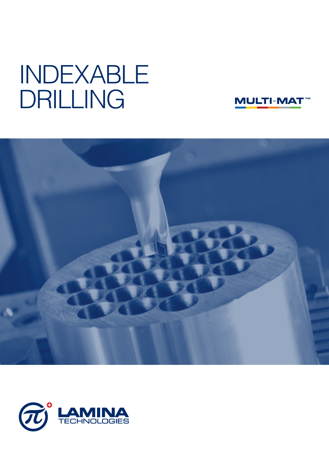# INDEXABLE DRILLING





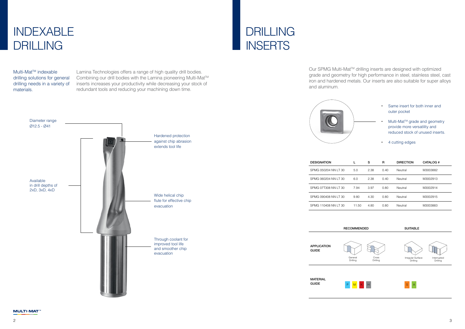Our SPMG Multi-Mat™ drilling inserts are designed with optimized grade and geometry for high performance in steel, stainless steel, cast iron and hardened metals. Our inserts are also suitable for super alloys and aluminum.

# DRILLING **INSERTS**

- Same insert for both inner and outer pocket
- Multi-Mat™ grade and geometry provide more versatility and reduced stock of unused inserts.
- 4 cutting edges

|       | s    | R    | <b>DIRECTION</b> | <b>CATALOG#</b> |
|-------|------|------|------------------|-----------------|
| 5.0   | 2.38 | 0.40 | Neutral          | M3003882        |
| 6.0   | 2.38 | 0.40 | Neutral          | M3002913        |
| 7.94  | 3.97 | 0.80 | Neutral          | M3002914        |
| 9.80  | 4.30 | 0.80 | Neutral          | M3002915        |
| 11.50 | 4.80 | 0.80 | Neutral          | M3003883        |

RECOMMENDED SUITABLE

Lamina Technologies offers a range of high quality drill bodies. Combining our drill bodies with the Lamina pioneering Multi-Mat™ inserts increases your productivity while decreasing your stock of redundant tools and reducing your machining down time.



**MULTI-MAT** 

Multi-MatTM indexable drilling solutions for general drilling needs in a variety of materials.

# INDEXABLE DRILLING





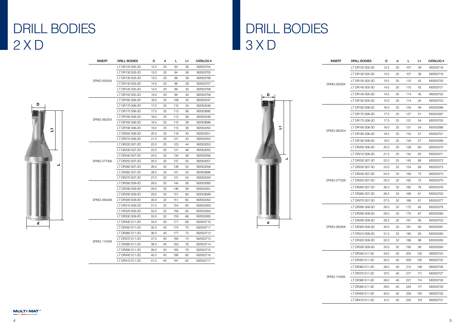# DRILL BODIES 3 X D

| <b>INSERT</b>      | DRILL BODIES    | D    | d  | L   | L1 | CATALOG # |
|--------------------|-----------------|------|----|-----|----|-----------|
|                    | LT DR125 S05-2D | 12.5 | 20 | 94  | 26 | M2003704  |
|                    | LT DR130 S05-2D | 13.0 | 20 | 94  | 26 | M2003705  |
|                    | LT DR135 S05-2D | 13.5 | 20 | 96  | 28 | M2003706  |
| SPMG 050204        | LT DR140 S05-2D | 14.0 | 20 | 96  | 28 | M2003707  |
|                    | LT DR145 S05-2D | 14.5 | 20 | 99  | 30 | M2003708  |
|                    | LT DR150 S05-2D | 15.0 | 20 | 99  | 30 | M2003709  |
|                    | LT DR160 S06-2D | 16.0 | 25 | 108 | 32 | M2003247  |
|                    | LT DR170 S06-2D | 17.0 | 25 | 110 | 34 | M2003248  |
|                    | LT DR175 S06-2D | 17.5 | 25 | 113 | 36 | M2003695  |
|                    | LT DR180 S06-2D | 18.0 | 25 | 113 | 36 | M2003249  |
| SPMG 060204        | LT DR185 S06-2D | 18.5 | 25 | 115 | 38 | M2003696  |
|                    | LT DR190 S06-2D | 19.0 | 25 | 115 | 38 | M2003250  |
|                    | LT DR200 S06-2D | 20.0 | 25 | 119 | 40 | M2003251  |
|                    | LT DR210 S06-2D | 21.0 | 25 | 121 | 42 | M2003252  |
|                    | LT DR220 S07-2D | 22.0 | 25 | 123 | 44 | M2003253  |
| <b>SPMG 07T308</b> | LT DR230 S07-2D | 23.0 | 32 | 131 | 46 | M2003255  |
|                    | LT DR240 S07-2D | 24.0 | 32 | 134 | 48 | M2003256  |
|                    | LT DR250 S07-2D | 25.0 | 32 | 137 | 50 | M2003257  |
|                    | LT DR260 S07-2D | 26.0 | 32 | 139 | 52 | M2003258  |
|                    | LT DR265 S07-2D | 26.5 | 32 | 141 | 54 | M2003698  |
|                    | LT DR270 S07-2D | 27.0 | 32 | 141 | 54 | M2003259  |
|                    | LT DR280 S09-2D | 28.0 | 32 | 144 | 56 | M2003260  |
|                    | LT DR290 S09-2D | 29.0 | 32 | 146 | 58 | M2003261  |
|                    | LT DR295 S09-2D | 29.5 | 32 | 151 | 60 | M2003699  |
| SPMG 090408        | LT DR300 S09-2D | 30.0 | 32 | 151 | 60 | M2003262  |
|                    | LT DR310 S09-2D | 31.0 | 32 | 154 | 60 | M2003263  |
|                    | LT DR320 S09-2D | 32.0 | 32 | 156 | 64 | M2003264  |
|                    | LT DR330 S09-2D | 33.0 | 32 | 159 | 66 | M2003265  |
|                    | LT DR340 S11-2D | 34.0 | 40 | 171 | 68 | M2003710  |
|                    | LT DR350 S11-2D | 35.0 | 40 | 174 | 70 | M2003711  |
|                    | LT DR360 S11-2D | 36.0 | 40 | 177 | 72 | M2003712  |
|                    | LT DR370 S11-2D | 37.0 | 40 | 180 | 74 | M2003713  |
| SPMG 110408        | LT DR380 S11-2D | 38.0 | 40 | 183 | 76 | M2003714  |
|                    | LT DR390 S11-2D | 39.0 | 40 | 185 | 78 | M2003715  |
|                    | LT DR400 S11-2D | 40.0 | 40 | 188 | 80 | M2003716  |
|                    | LT DR410 S11-2D | 41.0 | 40 | 191 | 82 | M2003717  |





| <b>DRILL BODIES</b> | D    | d  | L   | L1  | CATALOG # |
|---------------------|------|----|-----|-----|-----------|
| LT DR125 S05-3D     | 12.5 | 20 | 107 | 39  | M2003718  |
| LT DR130 S05-3D     | 13.0 | 20 | 107 | 39  | M2003719  |
| LT DR135 S05-3D     | 13.5 | 20 | 110 | 42  | M2003720  |
| LT DR140 S05-3D     | 14.0 | 20 | 110 | 42  | M2003721  |
| LT DR145 S05-3D     | 14.5 | 20 | 114 | 45  | M2003722  |
| LT DR150 S05-3D     | 15.0 | 20 | 114 | 45  | M2003723  |
| LT DR160 S06-3D     | 16.0 | 25 | 124 | 48  | M2003266  |
| LT DR170 S06-3D     | 17.0 | 25 | 127 | 51  | M2003267  |
| LT DR175 S06-3D     | 17.5 | 25 | 131 | 54  | M2003700  |
| LT DR180 S06-3D     | 18.0 | 25 | 131 | 54  | M2003268  |
| LT DR185 S06-3D     | 18.5 | 25 | 134 | 57  | M2003701  |
| LT DR190 S06-3D     | 19.0 | 25 | 134 | 57  | M2003269  |
| LT DR200 S06-3D     | 20.0 | 25 | 139 | 60  | M2003270  |
| LT DR210 S06-3D     | 21.0 | 25 | 142 | 63  | M2003271  |
| LT DR220 S07-3D     | 22.0 | 25 | 145 | 66  | M2003272  |
| LT DR230 S07-3D     | 23.0 | 32 | 154 | 69  | M2003273  |
| LT DR240 S07-3D     | 24.0 | 32 | 158 | 72  | M2003274  |
| LT DR250 S07-3D     | 25.0 | 32 | 162 | 75  | M2003275  |
| LT DR260 S07-3D     | 26.0 | 32 | 165 | 78  | M2003276  |
| LT DR265 S07-3D     | 26.5 | 32 | 168 | 81  | M2003702  |
| LT DR270 S07-3D     | 27.0 | 32 | 168 | 81  | M2003277  |
| LT DR280 S09-3D     | 28.0 | 32 | 172 | 84  | M2003278  |
| LT DR290 S09-3D     | 29.0 | 32 | 175 | 87  | M2003280  |
| LT DR295 S09-3D     | 29.5 | 32 | 181 | 90  | M2003703  |
| LT DR300 S09-3D     | 30.0 | 32 | 181 | 90  | M2003281  |
| LT DR310 S09-3D     | 31.0 | 32 | 185 | 93  | M2003282  |
| LT DR320 S09-3D     | 32.0 | 32 | 188 | 96  | M2003283  |
| LT DR330 S09-3D     | 33.0 | 32 | 192 | 99  | M2003284  |
| LT DR340 S11-3D     | 34.0 | 40 | 205 | 102 | M2003724  |
| LT DR350 S11-3D     | 35.0 | 40 | 209 | 105 | M2003725  |
| LT DR360 S11-3D     | 36.0 | 40 | 213 | 108 | M2003726  |
| LT DR370 S11-3D     | 37.0 | 40 | 217 | 111 | M2003727  |
| LT DR380 S11-3D     | 38.0 | 40 | 221 | 114 | M2003728  |
| LT DR390 S11-3D     | 39.0 | 40 | 224 | 117 | M2003729  |
| LT DR400 S11-3D     | 40.0 | 40 | 228 | 120 | M2003730  |
| LT DR410 S11-3D     | 41.0 | 40 | 232 | 123 | M2003731  |
|                     |      |    |     |     |           |

SPMG 110408

# DRILL BODIES 2 X D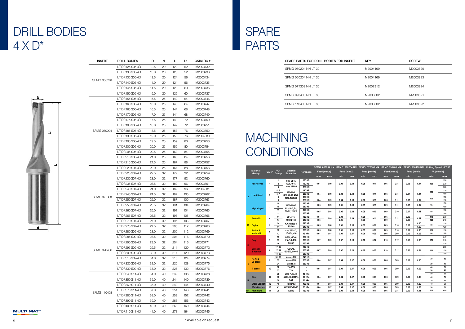## DRILL BODIES  $4 \times D^*$

 $\overline{\phantom{a}}$ 

# MACHINING **CONDITIONS**

## SPARE PARTS

| <b>INSERT</b>      | DRILL BODIES    | D    | d  | L.  | L1  | CATALOG # |
|--------------------|-----------------|------|----|-----|-----|-----------|
|                    | LT DR125 S05-4D | 12.5 | 20 | 120 | 52  | M2003732  |
|                    | LT DR130 S05-4D | 13.0 | 20 | 120 | 52  | M2003733  |
|                    | LT DR135 S05-4D | 13.5 | 20 | 124 | 56  | M2003434  |
| SPMG 050204        | LT DR140 S05-4D | 14.0 | 20 | 124 | 56  | M2003735  |
|                    | LT DR145 S05-4D | 14.5 | 20 | 129 | 60  | M2003736  |
|                    | LT DR150 S05-4D | 15.0 | 20 | 129 | 60  | M2003737  |
|                    | LT DR155 S06-4D | 15.5 | 25 | 140 | 64  | M2003746  |
|                    | LT DR160 S06-4D | 16.0 | 25 | 140 | 64  | M2003747  |
|                    | LT DR165 S06-4D | 16.5 | 25 | 144 | 68  | M2003748  |
|                    | LT DR170 S06-4D | 17.0 | 25 | 144 | 68  | M2003749  |
|                    | LT DR175 S06-4D | 17.5 | 25 | 149 | 72  | M2003750  |
|                    | LT DR180 S06-4D | 18.0 | 25 | 149 | 72  | M2003751  |
| SPMG 060204        | LT DR185 S06-4D | 18.5 | 25 | 153 | 76  | M2003752  |
|                    | LT DR190 S06-4D | 19.0 | 25 | 153 | 76  | M2004380  |
|                    | LT DR195 S06-4D | 19.5 | 25 | 159 | 80  | M2003753  |
|                    | LT DR200 S06-4D | 20.0 | 25 | 159 | 80  | M2003754  |
|                    | LT DR205 S06-4D | 20.5 | 25 | 163 | 84  | M2003755  |
|                    | LT DR210 S06-4D | 21.0 | 25 | 163 | 84  | M2003756  |
|                    | LT DR215 S06-4D | 21.5 | 25 | 167 | 88  | M2003757  |
|                    | LT DR220 S07-4D | 22.0 | 25 | 167 | 88  | M2003758  |
|                    | LT DR225 S07-4D | 22.5 | 32 | 177 | 92  | M2003759  |
|                    | LT DR230 S07-4D | 23.0 | 32 | 177 | 92  | M2003760  |
|                    | LT DR235 S07-4D | 23.5 | 32 | 182 | 96  | M2003761  |
|                    | LT DR240 S07-4D | 24.0 | 32 | 182 | 96  | M2004381  |
|                    | LT DR245 S07-4D | 24.5 | 32 | 187 | 100 | M2003762  |
| <b>SPMG 07T308</b> | LT DR250 S07-4D | 25.0 | 32 | 187 | 100 | M2003763  |
|                    | LT DR255 S07-4D | 25.5 | 32 | 191 | 104 | M2003764  |
|                    | LT DR260 S07-4D | 26.0 | 32 | 191 | 104 | M2003765  |
|                    | LT DR265 S07-4D | 26.5 | 32 | 195 | 108 | M2003766  |
|                    | LT DR270 S07-4D | 27.0 | 32 | 195 | 108 | M2003767  |
|                    | LT DR275 S07-4D | 27.5 | 32 | 200 | 112 | M2003768  |
|                    | LT DR280 S09-4D | 28.0 | 32 | 200 | 112 | M2003769  |
|                    | LT DR285 S09-4D | 28.5 | 32 | 204 | 116 | M2003770  |
|                    | LT DR290 S09-4D | 29.0 | 32 | 204 | 116 | M2003771  |
|                    | LT DR295 S09-4D | 29.5 | 32 | 211 | 120 | M2003772  |
| SPMG 090408        | LT DR300 S09-4D | 30.0 | 32 | 211 | 120 | M2003773  |
|                    | LT DR310 S09-4D | 31.0 | 32 | 216 | 124 | M2003774  |
|                    | LT DR320 S09-4D | 32.0 | 32 | 220 | 128 | M2003775  |
|                    | LT DR330 S09-4D | 33.0 | 32 | 225 | 132 | M2003776  |
|                    | LT DR340 S11-4D | 34.0 | 40 | 239 | 136 | M2003738  |
|                    | LT DR350 S11-4D | 35.0 | 40 | 244 | 140 | M2003739  |
|                    | LT DR360 S11-4D | 36.0 | 40 | 249 | 144 | M2003740  |
|                    | LT DR370 S11-4D | 37.0 | 40 | 254 | 148 | M2003741  |
| SPMG 110408        | LT DR380 S11-4D | 38.0 | 40 | 259 | 152 | M2003742  |
|                    | LT DR390 S11-4D | 39.0 | 40 | 263 | 156 | M2003743  |
|                    | LT DR400 S11-4D | 40.0 | 40 | 268 | 160 | M2003744  |
|                    | LT DR410 S11-4D | 41.0 | 40 | 273 | 164 | M2003745  |

| Σ,        | UI IVIU UUULUT     | LI DITIOU UUU TL | 10.0 | ںے  | 1 U U | 70  | 17120007 UZ            |                                             |                                 |                     |                                    |                         |              |              |              |              |              |              |              |              |              |              |                                                                                                  |            |
|-----------|--------------------|------------------|------|-----|-------|-----|------------------------|---------------------------------------------|---------------------------------|---------------------|------------------------------------|-------------------------|--------------|--------------|--------------|--------------|--------------|--------------|--------------|--------------|--------------|--------------|--------------------------------------------------------------------------------------------------|------------|
|           |                    | LT DR190 S06-4D  | 19.0 | 25  | 153   | 76  | M2004380               | <b>MACHINING</b>                            |                                 |                     |                                    |                         |              |              |              |              |              |              |              |              |              |              |                                                                                                  |            |
|           |                    | LT DR195 S06-4D  | 19.5 | 25  | 159   | 80  | M2003753               |                                             |                                 |                     |                                    |                         |              |              |              |              |              |              |              |              |              |              |                                                                                                  |            |
|           |                    | LT DR200 S06-4D  | 20.0 | 25  | 159   | 80  | M2003754               |                                             |                                 |                     |                                    |                         |              |              |              |              |              |              |              |              |              |              |                                                                                                  |            |
|           |                    | LT DR205 S06-4D  | 20.5 | -25 | 163   | 84  | M2003755               | <b>CONDITIONS</b>                           |                                 |                     |                                    |                         |              |              |              |              |              |              |              |              |              |              |                                                                                                  |            |
|           |                    | LT DR210 S06-4D  | 21.0 | 25  | 163   | 84  | M2003756               |                                             |                                 |                     |                                    |                         |              |              |              |              |              |              |              |              |              |              |                                                                                                  |            |
|           |                    | LT DR215 S06-4D  | 21.5 | -25 | 167   | 88  | M2003757               |                                             |                                 |                     |                                    |                         |              |              |              |              |              |              |              |              |              |              |                                                                                                  |            |
|           |                    | LT DR220 S07-4D  | 22.0 | 25  | 167   | 88  | M2003758               | <b>Material</b>                             |                                 | <b>VDI</b> Material |                                    |                         |              |              |              |              |              |              |              |              |              |              | SPMG 050204 NN SPMG 060204 NN SPMG 07T308 NN SPMG 090408 NN SPMG 110408 NN Cutting Speed - LT 30 |            |
|           |                    | LT DR225 S07-4D  | 22.5 | 32  | 177   | 92  | M2003759               | Group                                       | Gr. N°                          | Group<br>Examples   |                                    | <b>Hardness</b>         | Feed [mm/z]  |              | Feed [mm/z]  |              |              | Feed [mm/z]  | Feed [mm/z]  |              | Feed [mm/z]  |              | $V_{\rm c}$ [m/min]                                                                              |            |
|           |                    | LT DR230 S07-4D  | 23.0 | -32 | 177   | 92  | M2003760               |                                             |                                 | $\sim$ 1            | C35, Ck45,                         | 125 HB                  | min          | max          | min          | max          | min          | max          | min          | max          | min          | max          | min                                                                                              | max<br>270 |
|           |                    | LT DR235 S07-4D  | 23.5 | 32  | 182   | 96  | M2003761               | <b>Non Alloyed</b>                          |                                 | $\overline{2}$      | 1020, 1045,                        | 190 HB                  | 0.04         | 0.09         | 0.04         | 0.09         | 0.06         | 0.11         | 0.06         | 0.11         | 0.08         | 0.14         | 180                                                                                              | 230        |
|           |                    | LT DR240 S07-4D  | 24.0 | -32 | 182   | 96  | M2004381               |                                             | $\overline{\mathbf{3}}$<br>4, 6 |                     | 1060, 28Mn6                        | 250 HB<br>180 HB        |              |              |              |              |              |              |              |              |              |              |                                                                                                  | 200<br>230 |
|           |                    | LT DR245 S07-4D  | 24.5 | 32  | 187   | 100 | M2003762               | <b>Low Alloyed</b>                          | 5, 7<br>- 2                     |                     | 42CrMo4.<br>St50, Ck60, 4140,      | 230 HB                  | 0.04         | 0.09         | 0.04         | 0.09         | 0.06         | 0.11         | 0.06         | 0.11         | 0.07         | 0.14         | 120                                                                                              | 190        |
|           | <b>SPMG 07T308</b> | LT DR250 S07-4D  | 25.0 | -32 | 187   | 100 | M2003763               |                                             | 6<br>$\overline{\mathbf{8}}$    |                     | 4340, 100Cr06                      | 280 HB<br>350 HB        | 0.04         | 0.09         | 0.04         | 0.09         | 0.06         | 0.11         | 0.06         | 0.11         | 0.07         | 0.12         | 100                                                                                              | 170<br>150 |
|           |                    | LT DR255 S07-4D  | 25.5 | 32  | 191   | 104 | M2003764               |                                             | 10<br>10                        |                     | X40CrMoV5,                         | 220 HB<br>280 HB        | 0.05         | 0.09         | 0.05         | 0.09         | 0.09         | 0.11         | 0.09         | 0.11         | 0.07         | 0.12         | 70                                                                                               | 170<br>150 |
|           |                    | LT DR260 S07-4D  | 26.0 | -32 | 191   | 104 | M2003765               | <b>High Alloyed</b>                         | - 3<br>11                       |                     | H13, M42, D3,<br>S6-5-2, 12Ni19    | 320 HB                  | 0.05         | 0.08         | 0.05         | 0.08         | 0.09         | 0.10         | 0.09         | 0.10         | 0.07         | 0.11         | 60                                                                                               | 130        |
|           |                    | LT DR265 S07-4D  | 26.5 | 32  | 195   | 108 | M2003766               |                                             | 11                              | 14                  | 304, 316,                          | 350 HB<br>180 HB        | 0.04         |              | 0.04         |              | 0.06         |              | 0.06         |              | 0.06         |              | 170                                                                                              | 100<br>230 |
|           |                    | LT DR270 S07-4D  | 27.0 | -32 | 195   | 108 | M2003767               | <b>Austenitic</b>                           | -4<br>14                        |                     | X5CrNi18-9                         | 240 HB                  | 0.05         | 0.09         | 0.05         | 0.09         | 0.09         | 0.11         | 0.09         | 0.11         | 0.09         | 0.11         | 120                                                                                              | 210        |
| d         |                    | LT DR275 S07-4D  | 27.5 | -32 | 200   | 112 | M2003768               | <b>Duplex</b>                               | $5\phantom{.0}$<br>14           | 14                  | X2CrNiN23-4,<br>S31500             | 290 HB<br>310 HB        | 0.05         | 0.08         | 0.05         | 0.08         | 0.09         | 0.10         | 0.09         | 0.10         | 0.06         | 0.10<br>0.09 | 70                                                                                               | 120<br>120 |
|           |                    | LT DR280 S09-4D  | 28.0 | 32  | 200   | 112 | M2003769               | <b>Ferritic &amp;</b><br><b>Martensitic</b> | 12<br>- 6<br>13                 |                     | 410, X6Cr17,<br>17-4PH, 430        | 200 HB<br>42 HRc        | 0.05<br>0.04 | 0.08<br>0.07 | 0.05<br>0.04 | 0.08<br>0.07 | 0.09<br>0.06 | 0.10<br>0.09 | 0.09         | 0.10<br>0.09 | 0.09<br>0.06 | 0.10<br>0.09 | 100<br>60                                                                                        | 150<br>100 |
|           |                    | LT DR285 S09-4D  | 28.5 | 32  | 204   | 116 | M2003770               |                                             |                                 | 15                  | GG20, GG40,                        | 150 HB                  |              |              |              |              |              |              | 0.06         |              |              |              |                                                                                                  | 230        |
|           |                    | LT DR290 S09-4D  | 29.0 | 32  | 204   | 116 | M2003771               | <b>Grey</b>                                 | 15<br>16                        |                     | <b>EN-GJL-250,</b><br><b>N030B</b> | 200 HB<br>250 HB        | 0.07         | 0.09         | 0.07         | 0.10         | 0.10         | 0.12         | 0.10         | 0.12         | 0.10         | 0.15         | 150                                                                                              | 210<br>170 |
|           |                    | LT DR295 S09-4D  | 29.5 | 32  | 211   | 120 | M2003772               | <b>Malleable</b>                            | 17, 19                          |                     | GGG40,                             | 150 HB                  |              |              |              |              |              |              |              |              |              |              |                                                                                                  | 200        |
|           | SPMG 090408        | LT DR300 S09-4D  | 30.0 | 32  | 211   | 120 | M2003773               | & Nodular                                   | 17, 19<br>18, 20                |                     | GGG70, 50005                       | 200 HB<br>250 HB        | 0.07         | 0.09         | 0.07         | 0.10         | 0.10         | 0.12         | 0.10         | 0.12         | 0.10         | 0.14         | 120                                                                                              | 170<br>150 |
|           |                    | LT DR310 S09-4D  | 31.0 | 32  | 216   | 124 | M2003774               | Fe, Ni &                                    | 31, 32                          |                     | Incoloy 800                        | 240 HB                  |              |              |              |              |              |              |              |              |              |              | 30                                                                                               | 40         |
|           |                    | LT DR320 S09-4D  | 32.0 | 32  | 220   | 128 | M2003775               | Co based                                    | 33<br>34                        |                     | Inconel 700<br>Stellite 21         | 250 HB<br>350 HB        | 0.04         | 0.07         | 0.04         | 0.07         | 0.06         | 0.09         | 0.06         | 0.09         | 0.06         | 0.10         | 20                                                                                               | 40         |
|           |                    | LT DR330 S09-4D  | 33.0 | 32  | 225   | 132 | M2003776               | Ti based                                    | 36<br>10                        |                     | TiAI6V4                            | $\sim$                  | 0.04         | 0.07         | 0.04         | 0.07         | 0.06         | 0.09         | 0.06         | 0.09         | 0.06         | 0.09         | 40                                                                                               | 60         |
|           |                    | LT DR340 S11-4D  | 34.0 | 40  | 239   | 136 | M2003738               |                                             | 37<br>38                        |                     | T40<br>X100 CrMo13,                | $\sim$ $\sim$<br>45 HRc |              |              |              |              |              |              |              |              |              |              | 30<br>50                                                                                         | 40<br>90   |
|           |                    | LT DR350 S11-4D  | 35.0 | 40  | 244   | 140 | M2003739               | <b>Steel</b>                                | 38<br>11<br>38                  |                     | 440C, G-X260Ni-<br>Cr42            | <b>50 HRc</b><br>55 HRc | 0.04         | 0.07         | 0.04         | 0.07         | 0.06         | 0.09         | 0.06         | 0.09         | 0.06         | 0.09         | 40<br>30                                                                                         | 70<br>60   |
|           |                    | LT DR360 S11-4D  | 36.0 | 40  | 249   | 144 | M2003740               | <b>Chilled Cast Iron</b>                    | 12<br>40                        |                     | Ni-Hard 2                          | 400 HB                  | 0.04         | 0.07         | 0.04         | 0.07         | 0.06         | 0.09         | 0.06         | 0.09         | 0.06         | 0.09         | 40                                                                                               | 60         |
|           |                    | LT DR370 S11-4D  | 37.0 | 40  | 254   | 148 | M2003741               | <b>White Cast Iron</b><br>Aluminium         | $13$ 41<br>14 25                |                     | G-X300CrMo15<br>AISi12             | 55 HRc<br>130 HB        | 0.04<br>0.04 | 0.07<br>0.09 | 0.04<br>0.04 | 0.07<br>0.09 | 0.06<br>0.06 | 0.09<br>0.11 | 0.06<br>0.06 | 0.09<br>0.11 | 0.06<br>0.06 | 0.09<br>0.11 | 30<br>200                                                                                        | 50<br>400  |
|           | SPMG 110408        | LT DR380 S11-4D  | 38.0 | 40  | 259   | 152 | M2003742               |                                             |                                 |                     |                                    |                         |              |              |              |              |              |              |              |              |              |              |                                                                                                  |            |
|           |                    | LT DR390 S11-4D  | 39.0 | 40  | 263   | 156 | M2003743               |                                             |                                 |                     |                                    |                         |              |              |              |              |              |              |              |              |              |              |                                                                                                  |            |
|           |                    | LT DR400 S11-4D  | 40.0 | 40  | 268   | 160 | M2003744               |                                             |                                 |                     |                                    |                         |              |              |              |              |              |              |              |              |              |              |                                                                                                  |            |
| MULTI-MAT |                    | LT DR410 S11-4D  | 41.0 | 40  | 273   | 164 | M2003745               |                                             |                                 |                     |                                    |                         |              |              |              |              |              |              |              |              |              |              |                                                                                                  |            |
|           |                    |                  |      |     |       |     |                        |                                             |                                 |                     |                                    |                         |              |              |              |              |              |              |              |              |              |              |                                                                                                  |            |
|           |                    |                  |      |     |       |     | * Available on request |                                             |                                 |                     |                                    |                         |              |              |              |              |              |              |              |              |              |              |                                                                                                  |            |

| SPARE PARTS FOR DRILL BODIES FOR INSERT | <b>KEY</b> | <b>SCREW</b> |
|-----------------------------------------|------------|--------------|
| SPMG 050204 NN LT 30                    | M2004169   | M2003820     |
| SPMG 060204 NN LT 30                    | M2004169   | M2003823     |
| SPMG 07T308 NN LT 30                    | M2002912   | M2003824     |
| SPMG 090408 NN LT 30                    | M2000602   | M2003821     |
| SPMG 110408 NN LT 30                    | M2000602   | M2003822     |